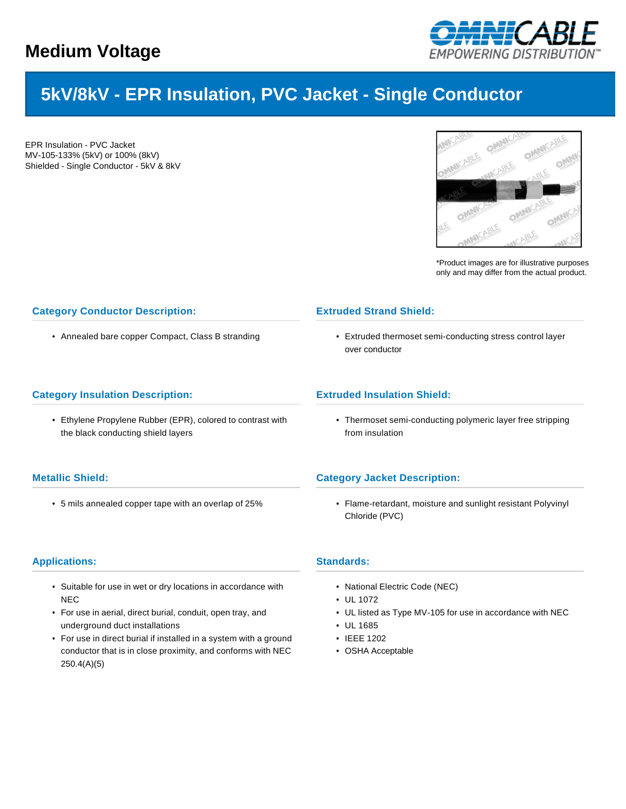

# **5kV/8kV - EPR Insulation, PVC Jacket - Single Conductor**

EPR Insulation - PVC Jacket MV-105-133% (5kV) or 100% (8kV) Shielded - Single Conductor - 5kV & 8kV



\*Product images are for illustrative purposes only and may differ from the actual product.

## **Category Conductor Description:**

• Annealed bare copper Compact, Class B stranding

#### **Category Insulation Description:**

• Ethylene Propylene Rubber (EPR), colored to contrast with the black conducting shield layers

## **Metallic Shield:**

• 5 mils annealed copper tape with an overlap of 25%

#### **Applications:**

- Suitable for use in wet or dry locations in accordance with **NEC**
- For use in aerial, direct burial, conduit, open tray, and underground duct installations
- For use in direct burial if installed in a system with a ground conductor that is in close proximity, and conforms with NEC 250.4(A)(5)

### **Extruded Strand Shield:**

• Extruded thermoset semi-conducting stress control layer over conductor

#### **Extruded Insulation Shield:**

• Thermoset semi-conducting polymeric layer free stripping from insulation

#### **Category Jacket Description:**

• Flame-retardant, moisture and sunlight resistant Polyvinyl Chloride (PVC)

#### **Standards:**

- National Electric Code (NEC)
- UL 1072
- UL listed as Type MV-105 for use in accordance with NEC
- UL 1685
- IEEE 1202
- OSHA Acceptable